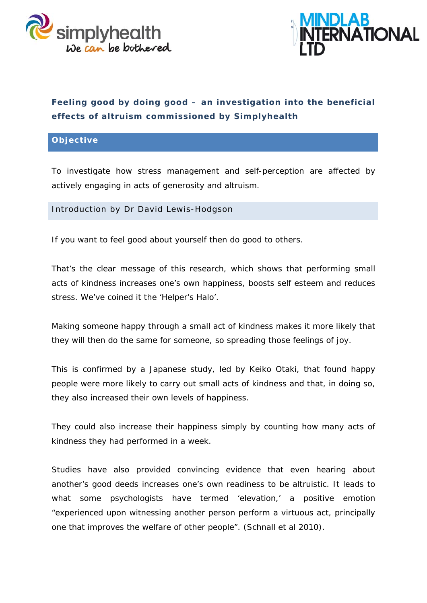



# **Feeling good by doing good – an investigation into the beneficial effects of altruism commissioned by Simplyhealth**

### **Objective**

To investigate how stress management and self-perception are affected by actively engaging in acts of generosity and altruism.

Introduction by Dr David Lewis-Hodgson

If you want to feel good about yourself then do good to others.

That's the clear message of this research, which shows that performing small acts of kindness increases one's own happiness, boosts self esteem and reduces stress. We've coined it the 'Helper's Halo'.

Making someone happy through a small act of kindness makes it more likely that they will then do the same for someone, so spreading those feelings of joy.

This is confirmed by a Japanese study, led by Keiko Otaki, that found happy people were *more* likely to carry out small acts of kindness and that, in doing so, they also increased their own levels of happiness.

They could also increase their happiness simply by counting how many acts of kindness they had performed in a week.

Studies have also provided convincing evidence that even hearing about another's good deeds increases one's own readiness to be altruistic. It leads to what some psychologists have termed 'elevation,' a positive emotion "experienced upon witnessing another person perform a virtuous act, principally one that improves the welfare of other people". (Schnall et al 2010).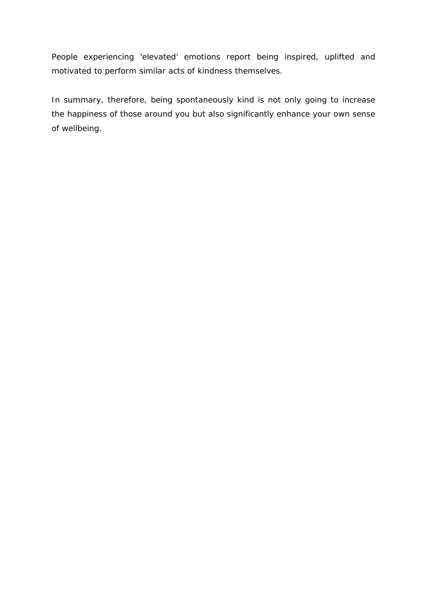People experiencing 'elevated' emotions report being inspired, uplifted and motivated to perform similar acts of kindness themselves.

In summary, therefore, being spontaneously kind is not only going to increase the happiness of those around you but also significantly enhance your own sense of wellbeing.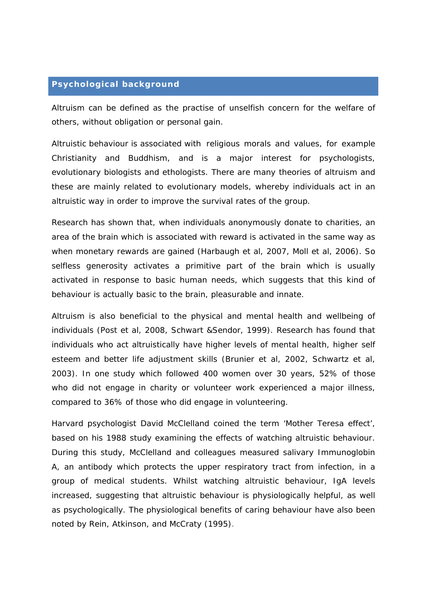## **Psychological background**

Altruism can be defined as the practise of unselfish concern for the welfare of others, without obligation or personal gain.

Altruistic behaviour is associated with religious morals and values, for example Christianity and Buddhism, and is a major interest for psychologists, evolutionary biologists and ethologists. There are many theories of altruism and these are mainly related to evolutionary models, whereby individuals act in an altruistic way in order to improve the survival rates of the group.

Research has shown that, when individuals anonymously donate to charities, an area of the brain which is associated with reward is activated in the same way as when monetary rewards are gained (Harbaugh et al, 2007, Moll et al, 2006). So selfless generosity activates a primitive part of the brain which is usually activated in response to basic human needs, which suggests that this kind of behaviour is actually basic to the brain, pleasurable and innate.

Altruism is also beneficial to the physical and mental health and wellbeing of individuals (Post et al, 2008, Schwart &Sendor, 1999). Research has found that individuals who act altruistically have higher levels of mental health, higher self esteem and better life adjustment skills (Brunier et al, 2002, Schwartz et al, 2003). In one study which followed 400 women over 30 years, 52% of those who did not engage in charity or volunteer work experienced a major illness, compared to 36% of those who did engage in volunteering.

Harvard psychologist David McClelland coined the term 'Mother Teresa effect', based on his 1988 study examining the effects of watching altruistic behaviour. During this study, McClelland and colleagues measured salivary Immunoglobin A, an antibody which protects the upper respiratory tract from infection, in a group of medical students. Whilst watching altruistic behaviour, IgA levels increased, suggesting that altruistic behaviour is physiologically helpful, as well as psychologically. The physiological benefits of caring behaviour have also been noted by Rein, Atkinson, and McCraty (1995).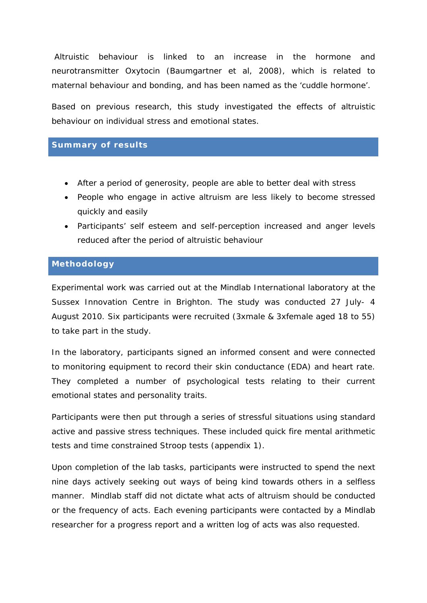Altruistic behaviour is linked to an increase in the hormone and neurotransmitter Oxytocin (Baumgartner et al, 2008), which is related to maternal behaviour and bonding, and has been named as the 'cuddle hormone'.

Based on previous research, this study investigated the effects of altruistic behaviour on individual stress and emotional states.

#### **Summary of results**

- After a period of generosity, people are able to better deal with stress
- People who engage in active altruism are less likely to become stressed quickly and easily
- Participants' self esteem and self-perception increased and anger levels reduced after the period of altruistic behaviour

### **Methodology**

Experimental work was carried out at the Mindlab International laboratory at the Sussex Innovation Centre in Brighton. The study was conducted 27 July- 4 August 2010. Six participants were recruited (3xmale & 3xfemale aged 18 to 55) to take part in the study.

In the laboratory, participants signed an informed consent and were connected to monitoring equipment to record their skin conductance (EDA) and heart rate. They completed a number of psychological tests relating to their current emotional states and personality traits.

Participants were then put through a series of stressful situations using standard active and passive stress techniques. These included quick fire mental arithmetic tests and time constrained Stroop tests (appendix 1).

Upon completion of the lab tasks, participants were instructed to spend the next nine days actively seeking out ways of being kind towards others in a selfless manner. Mindlab staff did not dictate what acts of altruism should be conducted or the frequency of acts. Each evening participants were contacted by a Mindlab researcher for a progress report and a written log of acts was also requested.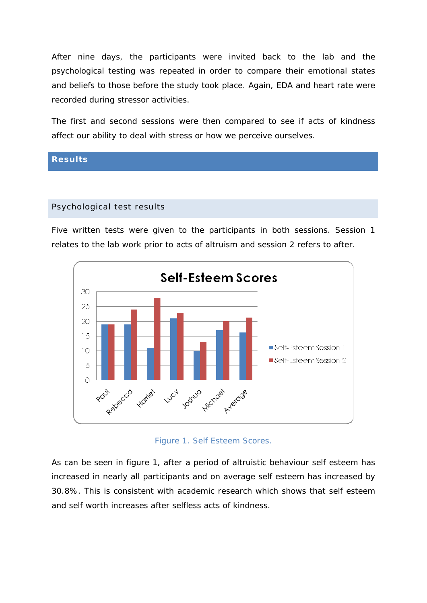After nine days, the participants were invited back to the lab and the psychological testing was repeated in order to compare their emotional states and beliefs to those before the study took place. Again, EDA and heart rate were recorded during stressor activities.

The first and second sessions were then compared to see if acts of kindness affect our ability to deal with stress or how we perceive ourselves.

### **Results**

#### Psychological test results

Five written tests were given to the participants in both sessions. Session 1 relates to the lab work prior to acts of altruism and session 2 refers to after.



*Figure 1. Self Esteem Scores.* 

As can be seen in figure 1, after a period of altruistic behaviour self esteem has increased in nearly all participants and on average self esteem has increased by 30.8%. This is consistent with academic research which shows that self esteem and self worth increases after selfless acts of kindness.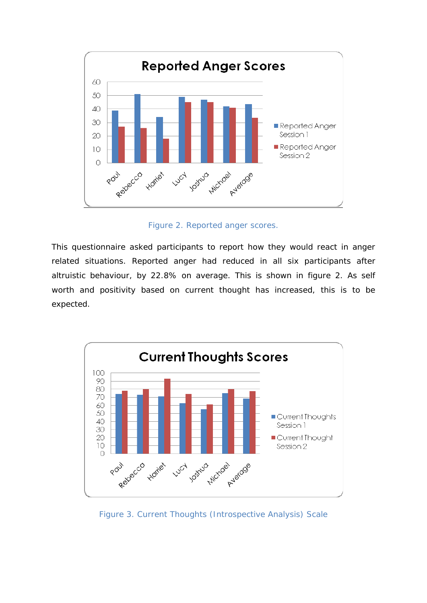

*Figure 2. Reported anger scores.* 

This questionnaire asked participants to report how they would react in anger related situations. Reported anger had reduced in all six participants after altruistic behaviour, by 22.8% on average. This is shown in figure 2. As self worth and positivity based on current thought has increased, this is to be expected.



*Figure 3. Current Thoughts (Introspective Analysis) Scale*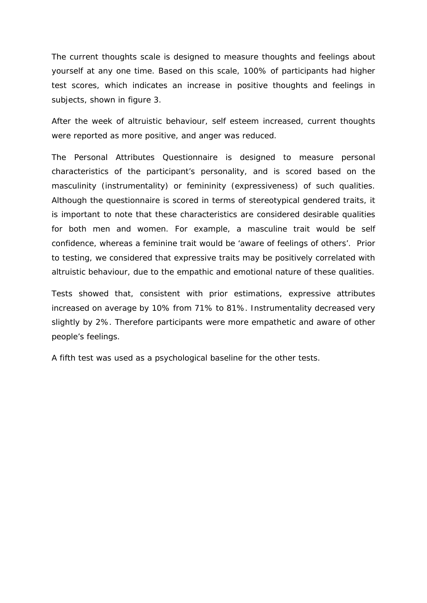The current thoughts scale is designed to measure thoughts and feelings about yourself at any one time. Based on this scale, 100% of participants had higher test scores, which indicates an increase in positive thoughts and feelings in subjects, shown in figure 3.

After the week of altruistic behaviour, self esteem increased, current thoughts were reported as more positive, and anger was reduced.

The Personal Attributes Questionnaire is designed to measure personal characteristics of the participant's personality, and is scored based on the masculinity (instrumentality) or femininity (expressiveness) of such qualities. Although the questionnaire is scored in terms of stereotypical gendered traits, it is important to note that these characteristics are considered desirable qualities for both men and women. For example, a masculine trait would be self confidence, whereas a feminine trait would be 'aware of feelings of others'. Prior to testing, we considered that expressive traits may be positively correlated with altruistic behaviour, due to the empathic and emotional nature of these qualities.

Tests showed that, consistent with prior estimations, expressive attributes increased on average by 10% from 71% to 81%. Instrumentality decreased very slightly by 2%. Therefore participants were more empathetic and aware of other people's feelings.

A fifth test was used as a psychological baseline for the other tests.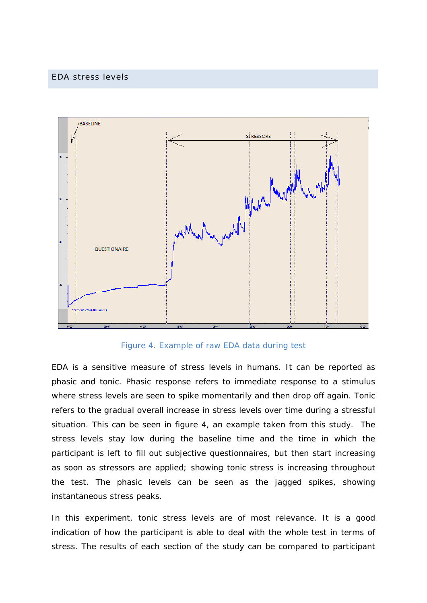#### EDA stress levels



*Figure 4. Example of raw EDA data during test* 

EDA is a sensitive measure of stress levels in humans. It can be reported as phasic and tonic. Phasic response refers to immediate response to a stimulus where stress levels are seen to spike momentarily and then drop off again. Tonic refers to the gradual overall increase in stress levels over time during a stressful situation. This can be seen in figure 4, an example taken from this study. The stress levels stay low during the baseline time and the time in which the participant is left to fill out subjective questionnaires, but then start increasing as soon as stressors are applied; showing tonic stress is increasing throughout the test. The phasic levels can be seen as the jagged spikes, showing instantaneous stress peaks.

In this experiment, tonic stress levels are of most relevance. It is a good indication of how the participant is able to deal with the whole test in terms of stress. The results of each section of the study can be compared to participant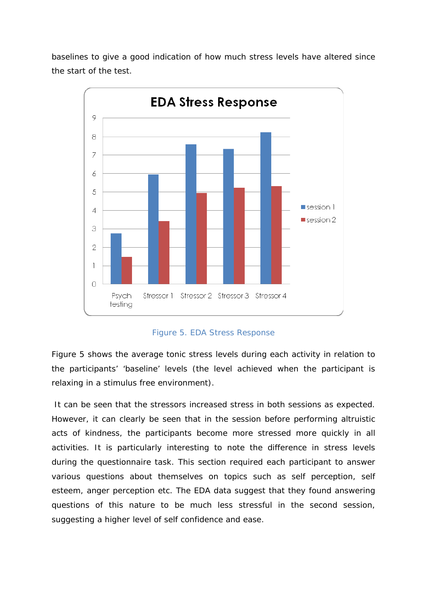baselines to give a good indication of how much stress levels have altered since the start of the test.



### *Figure 5. EDA Stress Response*

Figure 5 shows the average tonic stress levels during each activity in relation to the participants' 'baseline' levels (the level achieved when the participant is relaxing in a stimulus free environment).

 It can be seen that the stressors increased stress in both sessions as expected. However, it can clearly be seen that in the session before performing altruistic acts of kindness, the participants become more stressed more quickly in all activities. It is particularly interesting to note the difference in stress levels during the questionnaire task. This section required each participant to answer various questions about themselves on topics such as self perception, self esteem, anger perception etc. The EDA data suggest that they found answering questions of this nature to be much less stressful in the second session, suggesting a higher level of self confidence and ease.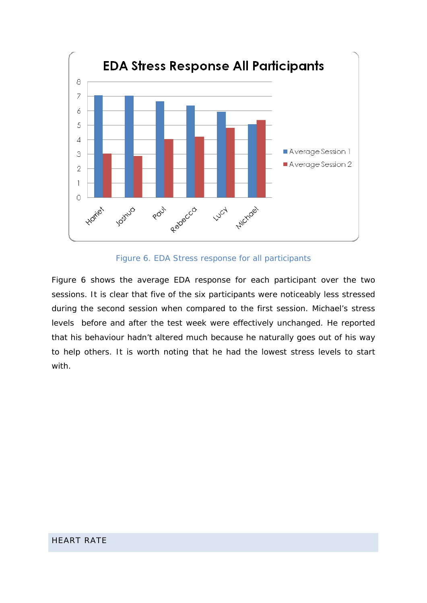

*Figure 6. EDA Stress response for all participants* 

Figure 6 shows the average EDA response for each participant over the two sessions. It is clear that five of the six participants were noticeably less stressed during the second session when compared to the first session. Michael's stress levels before and after the test week were effectively unchanged. He reported that his behaviour hadn't altered much because he naturally goes out of his way to help others. It is worth noting that he had the lowest stress levels to start with.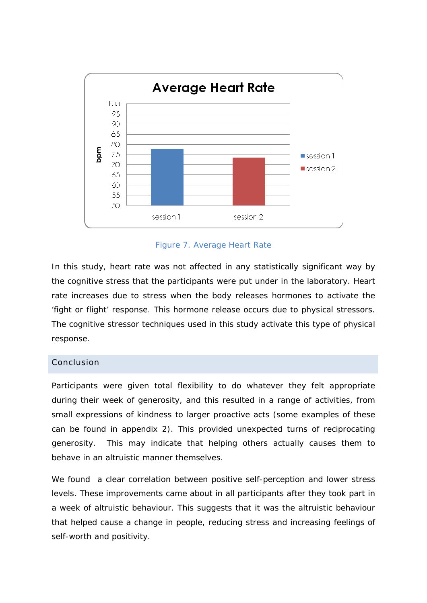

## *Figure 7. Average Heart Rate*

In this study, heart rate was not affected in any statistically significant way by the cognitive stress that the participants were put under in the laboratory. Heart rate increases due to stress when the body releases hormones to activate the 'fight or flight' response. This hormone release occurs due to physical stressors. The cognitive stressor techniques used in this study activate this type of physical response.

#### Conclusion

Participants were given total flexibility to do whatever they felt appropriate during their week of generosity, and this resulted in a range of activities, from small expressions of kindness to larger proactive acts (some examples of these can be found in appendix 2). This provided unexpected turns of reciprocating generosity. This may indicate that helping others actually causes them to behave in an altruistic manner themselves.

We found a clear correlation between positive self-perception and lower stress levels. These improvements came about in all participants after they took part in a week of altruistic behaviour. This suggests that it was the altruistic behaviour that helped cause a change in people, reducing stress and increasing feelings of self-worth and positivity.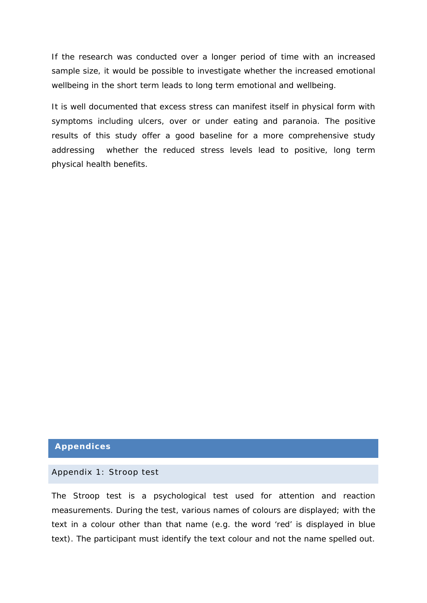If the research was conducted over a longer period of time with an increased sample size, it would be possible to investigate whether the increased emotional wellbeing in the short term leads to long term emotional and wellbeing.

It is well documented that excess stress can manifest itself in physical form with symptoms including ulcers, over or under eating and paranoia. The positive results of this study offer a good baseline for a more comprehensive study addressing whether the reduced stress levels lead to positive, long term physical health benefits.

#### **Appendices**

#### Appendix 1: Stroop test

The Stroop test is a psychological test used for attention and reaction measurements. During the test, various names of colours are displayed; with the text in a colour other than that name (e.g. the word 'red' is displayed in blue text). The participant must identify the text colour and not the name spelled out.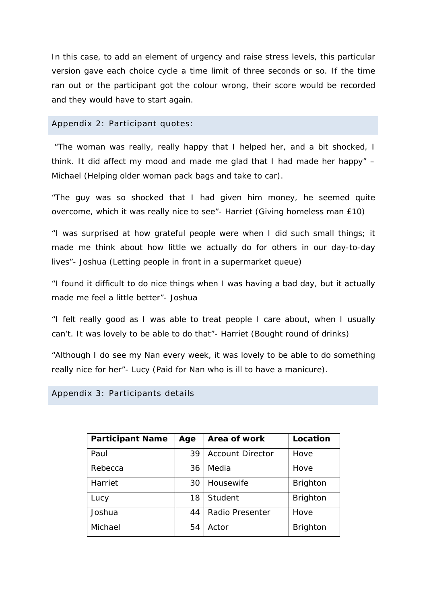In this case, to add an element of urgency and raise stress levels, this particular version gave each choice cycle a time limit of three seconds or so. If the time ran out or the participant got the colour wrong, their score would be recorded and they would have to start again.

#### Appendix 2: Participant quotes:

 "The woman was really, really happy that I helped her, and a bit shocked, I think. It did affect my mood and made me glad that I had made her happy" – Michael (Helping older woman pack bags and take to car).

"The guy was so shocked that I had given him money, he seemed quite overcome, which it was really nice to see"- Harriet (Giving homeless man £10)

"I was surprised at how grateful people were when I did such small things; it made me think about how little we actually do for others in our day-to-day lives"- Joshua (Letting people in front in a supermarket queue)

"I found it difficult to do nice things when I was having a bad day, but it actually made me feel a little better"- Joshua

"I felt really good as I was able to treat people I care about, when I usually can't. It was lovely to be able to do that"- Harriet (Bought round of drinks)

"Although I do see my Nan every week, it was lovely to be able to do something really nice for her"- Lucy (Paid for Nan who is ill to have a manicure).

#### Appendix 3: Participants details

| <b>Participant Name</b> | Age | Area of work            | Location        |
|-------------------------|-----|-------------------------|-----------------|
| Paul                    | 39  | <b>Account Director</b> | Hove            |
| Rebecca                 | 36  | Media                   | Hove            |
| Harriet                 | 30  | Housewife               | <b>Brighton</b> |
| Lucy                    | 18  | Student                 | <b>Brighton</b> |
| Joshua                  | 44  | Radio Presenter         | Hove            |
| Michael                 | 54  | Actor                   | Brighton        |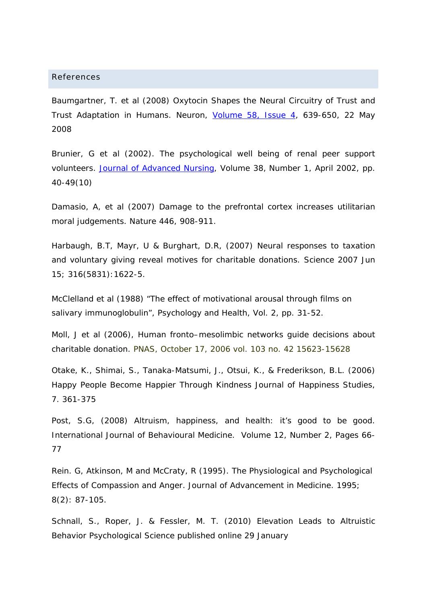#### References

Baumgartner, T. et al (2008) *Oxytocin Shapes the Neural Circuitry of Trust and Trust Adaptation in Humans.* Neuron, [Volume 58, Issue 4](http://www.cell.com/neuron/issue?pii=S0896-6273%2808%29X0011-X), 639-650, 22 May 2008

Brunier, G et al (2002*). The psychological well being of renal peer support volunteers.* [Journal of Advanced Nursing,](http://www.ingentaconnect.com/content/bsc/jan;jsessionid=x2kf3ooxl34u.alexandra) Volume 38, Number 1, April 2002, pp. 40-49(10)

Damasio, A, et al (2007) *Damage to the prefrontal cortex increases utilitarian moral judgements.* Nature 446, 908-911.

Harbaugh, B.T, Mayr, U & Burghart, D.R, (2007) Neural responses to taxation and voluntary giving reveal motives for charitable donations. Science 2007 Jun 15; 316(5831):1622-5.

McClelland et al (1988) "The effect of motivational arousal through films on salivary immunoglobulin", *Psychology and Health*, Vol. 2, pp. 31-52.

Moll, J et al (2006*), Human fronto–mesolimbic networks guide decisions about charitable donation*. PNAS, October 17, 2006 vol. 103 no. 42 15623-15628

Otake, K., Shimai, S., Tanaka-Matsumi, J., Otsui, K., & Frederikson, B.L. (2006) *Happy People Become Happier Through Kindness* Journal of Happiness Studies, 7. 361-375

Post, S.G, (2008) *Altruism, happiness, and health: it's good to be good*. International Journal of Behavioural Medicine. Volume 12, Number 2, Pages 66- 77

Rein. G, Atkinson, M and McCraty, R (1995). The Physiological and Psychological Effects of Compassion and Anger. Journal of Advancement in Medicine. 1995; 8(2): 87-105.

Schnall, S., Roper, J. & Fessler, M. T. (2010) *Elevation Leads to Altruistic Behavior Psychological Science* published online 29 January